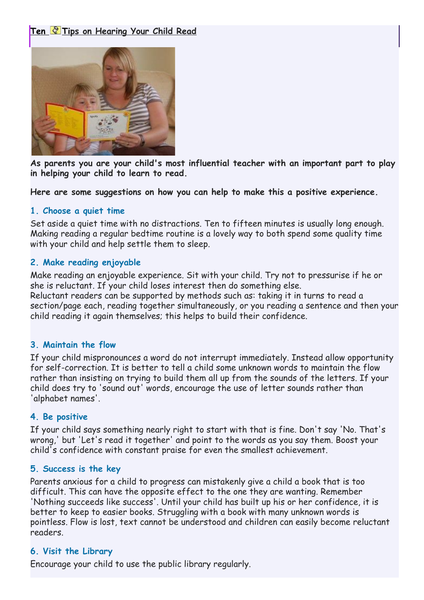# **Ten Tips on Hearing Your Child Read**



**As parents you are your child's most influential teacher with an important part to play in helping your child to learn to read.**

**Here are some suggestions on how you can help to make this a positive experience.**

#### **1. Choose a quiet time**

Set aside a quiet time with no distractions. Ten to fifteen minutes is usually long enough. Making reading a regular bedtime routine is a lovely way to both spend some quality time with your child and help settle them to sleep.

## **2. Make reading enjoyable**

Make reading an enjoyable experience. Sit with your child. Try not to pressurise if he or she is reluctant. If your child loses interest then do something else. Reluctant readers can be supported by methods such as: taking it in turns to read a section/page each, reading together simultaneously, or you reading a sentence and then your child reading it again themselves; this helps to build their confidence.

#### **3. Maintain the flow**

If your child mispronounces a word do not interrupt immediately. Instead allow opportunity for self-correction. It is better to tell a child some unknown words to maintain the flow rather than insisting on trying to build them all up from the sounds of the letters. If your child does try to 'sound out' words, encourage the use of letter sounds rather than 'alphabet names'.

## **4. Be positive**

If your child says something nearly right to start with that is fine. Don't say 'No. That's wrong,' but 'Let's read it together' and point to the words as you say them. Boost your child's confidence with constant praise for even the smallest achievement.

## **5. Success is the key**

Parents anxious for a child to progress can mistakenly give a child a book that is too difficult. This can have the opposite effect to the one they are wanting. Remember 'Nothing succeeds like success'. Until your child has built up his or her confidence, it is better to keep to easier books. Struggling with a book with many unknown words is pointless. Flow is lost, text cannot be understood and children can easily become reluctant readers.

## **6. Visit the Library**

Encourage your child to use the public library regularly.